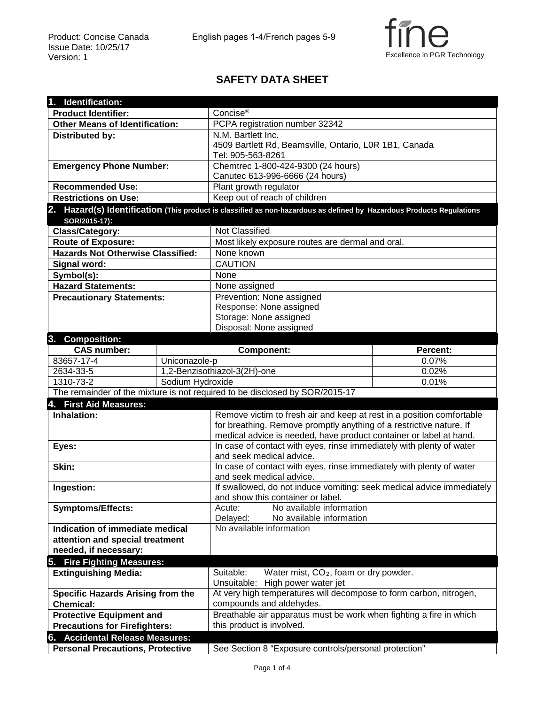

## **SAFETY DATA SHEET**

| 1. Identification:                                                          |                  |                                                                                                                       |          |  |
|-----------------------------------------------------------------------------|------------------|-----------------------------------------------------------------------------------------------------------------------|----------|--|
| <b>Product Identifier:</b>                                                  |                  | Concise <sup>®</sup>                                                                                                  |          |  |
| <b>Other Means of Identification:</b>                                       |                  | PCPA registration number 32342                                                                                        |          |  |
| Distributed by:                                                             |                  | N.M. Bartlett Inc.                                                                                                    |          |  |
|                                                                             |                  | 4509 Bartlett Rd, Beamsville, Ontario, L0R 1B1, Canada                                                                |          |  |
|                                                                             |                  | Tel: 905-563-8261                                                                                                     |          |  |
| <b>Emergency Phone Number:</b>                                              |                  | Chemtrec 1-800-424-9300 (24 hours)                                                                                    |          |  |
|                                                                             |                  | Canutec 613-996-6666 (24 hours)                                                                                       |          |  |
| <b>Recommended Use:</b>                                                     |                  | Plant growth regulator                                                                                                |          |  |
| <b>Restrictions on Use:</b>                                                 |                  | Keep out of reach of children                                                                                         |          |  |
|                                                                             |                  | 2. Hazard(s) Identification (This product is classified as non-hazardous as defined by Hazardous Products Regulations |          |  |
| SOR/2015-17):                                                               |                  |                                                                                                                       |          |  |
| Class/Category:                                                             |                  | Not Classified                                                                                                        |          |  |
| <b>Route of Exposure:</b>                                                   |                  | Most likely exposure routes are dermal and oral.                                                                      |          |  |
| <b>Hazards Not Otherwise Classified:</b>                                    |                  | None known                                                                                                            |          |  |
| Signal word:                                                                |                  | <b>CAUTION</b>                                                                                                        |          |  |
| Symbol(s):                                                                  |                  | None                                                                                                                  |          |  |
| <b>Hazard Statements:</b>                                                   |                  | None assigned                                                                                                         |          |  |
| <b>Precautionary Statements:</b>                                            |                  | Prevention: None assigned                                                                                             |          |  |
|                                                                             |                  | Response: None assigned                                                                                               |          |  |
|                                                                             |                  | Storage: None assigned                                                                                                |          |  |
|                                                                             |                  | Disposal: None assigned                                                                                               |          |  |
| 3. Composition:                                                             |                  |                                                                                                                       |          |  |
| <b>CAS number:</b>                                                          |                  | Component:                                                                                                            | Percent: |  |
| 83657-17-4                                                                  | Uniconazole-p    |                                                                                                                       | 0.07%    |  |
| 2634-33-5                                                                   |                  | 1,2-Benzisothiazol-3(2H)-one                                                                                          | 0.02%    |  |
| 1310-73-2                                                                   | Sodium Hydroxide |                                                                                                                       | 0.01%    |  |
| The remainder of the mixture is not required to be disclosed by SOR/2015-17 |                  |                                                                                                                       |          |  |
| 4. First Aid Measures:                                                      |                  |                                                                                                                       |          |  |
| Inhalation:                                                                 |                  | Remove victim to fresh air and keep at rest in a position comfortable                                                 |          |  |
|                                                                             |                  | for breathing. Remove promptly anything of a restrictive nature. If                                                   |          |  |
|                                                                             |                  | medical advice is needed, have product container or label at hand.                                                    |          |  |
| Eyes:                                                                       |                  | In case of contact with eyes, rinse immediately with plenty of water                                                  |          |  |
|                                                                             |                  | and seek medical advice.                                                                                              |          |  |
| Skin:                                                                       |                  | In case of contact with eyes, rinse immediately with plenty of water                                                  |          |  |
|                                                                             |                  | and seek medical advice.                                                                                              |          |  |
| Ingestion:                                                                  |                  | If swallowed, do not induce vomiting: seek medical advice immediately                                                 |          |  |
|                                                                             |                  | and show this container or label.                                                                                     |          |  |
| <b>Symptoms/Effects:</b>                                                    |                  | No available information<br>Acute:                                                                                    |          |  |
|                                                                             |                  | Delayed:<br>No available information                                                                                  |          |  |
| Indication of immediate medical                                             |                  | No available information                                                                                              |          |  |
| attention and special treatment                                             |                  |                                                                                                                       |          |  |
| needed, if necessary:                                                       |                  |                                                                                                                       |          |  |
| 5. Fire Fighting Measures:                                                  |                  |                                                                                                                       |          |  |
| <b>Extinguishing Media:</b>                                                 |                  | Suitable:<br>Water mist, CO <sub>2</sub> , foam or dry powder.                                                        |          |  |
|                                                                             |                  | Unsuitable:<br>High power water jet                                                                                   |          |  |
| <b>Specific Hazards Arising from the</b>                                    |                  | At very high temperatures will decompose to form carbon, nitrogen,                                                    |          |  |
| <b>Chemical:</b>                                                            |                  | compounds and aldehydes.                                                                                              |          |  |
| <b>Protective Equipment and</b>                                             |                  | Breathable air apparatus must be work when fighting a fire in which                                                   |          |  |
| <b>Precautions for Firefighters:</b>                                        |                  | this product is involved.                                                                                             |          |  |
| 6. Accidental Release Measures:                                             |                  |                                                                                                                       |          |  |
| <b>Personal Precautions, Protective</b>                                     |                  | See Section 8 "Exposure controls/personal protection"                                                                 |          |  |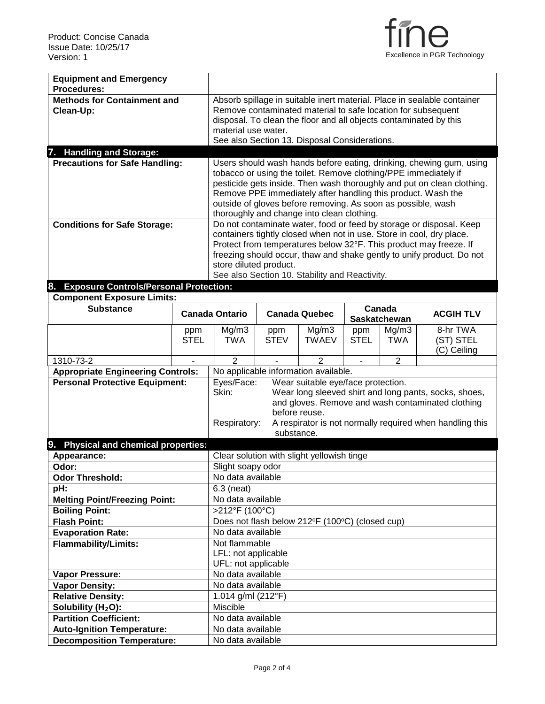

| <b>Equipment and Emergency</b>                                                    |             |                                                                                                                    |                                                              |                                                        |             |                     |                                                                                                                                            |  |
|-----------------------------------------------------------------------------------|-------------|--------------------------------------------------------------------------------------------------------------------|--------------------------------------------------------------|--------------------------------------------------------|-------------|---------------------|--------------------------------------------------------------------------------------------------------------------------------------------|--|
| Procedures:                                                                       |             |                                                                                                                    |                                                              |                                                        |             |                     |                                                                                                                                            |  |
| <b>Methods for Containment and</b>                                                |             | Absorb spillage in suitable inert material. Place in sealable container                                            |                                                              |                                                        |             |                     |                                                                                                                                            |  |
| Clean-Up:                                                                         |             | Remove contaminated material to safe location for subsequent                                                       |                                                              |                                                        |             |                     |                                                                                                                                            |  |
|                                                                                   |             | disposal. To clean the floor and all objects contaminated by this<br>material use water.                           |                                                              |                                                        |             |                     |                                                                                                                                            |  |
|                                                                                   |             | See also Section 13. Disposal Considerations.                                                                      |                                                              |                                                        |             |                     |                                                                                                                                            |  |
| 7. Handling and Storage:                                                          |             |                                                                                                                    |                                                              |                                                        |             |                     |                                                                                                                                            |  |
| <b>Precautions for Safe Handling:</b>                                             |             | Users should wash hands before eating, drinking, chewing gum, using                                                |                                                              |                                                        |             |                     |                                                                                                                                            |  |
|                                                                                   |             | tobacco or using the toilet. Remove clothing/PPE immediately if                                                    |                                                              |                                                        |             |                     |                                                                                                                                            |  |
|                                                                                   |             | pesticide gets inside. Then wash thoroughly and put on clean clothing.                                             |                                                              |                                                        |             |                     |                                                                                                                                            |  |
|                                                                                   |             |                                                                                                                    | Remove PPE immediately after handling this product. Wash the |                                                        |             |                     |                                                                                                                                            |  |
|                                                                                   |             | outside of gloves before removing. As soon as possible, wash                                                       |                                                              |                                                        |             |                     |                                                                                                                                            |  |
|                                                                                   |             |                                                                                                                    |                                                              | thoroughly and change into clean clothing.             |             |                     |                                                                                                                                            |  |
| <b>Conditions for Safe Storage:</b>                                               |             |                                                                                                                    |                                                              |                                                        |             |                     | Do not contaminate water, food or feed by storage or disposal. Keep                                                                        |  |
|                                                                                   |             |                                                                                                                    |                                                              |                                                        |             |                     | containers tightly closed when not in use. Store in cool, dry place.                                                                       |  |
|                                                                                   |             |                                                                                                                    |                                                              |                                                        |             |                     | Protect from temperatures below 32°F. This product may freeze. If<br>freezing should occur, thaw and shake gently to unify product. Do not |  |
|                                                                                   |             | store diluted product.                                                                                             |                                                              |                                                        |             |                     |                                                                                                                                            |  |
|                                                                                   |             |                                                                                                                    |                                                              | See also Section 10. Stability and Reactivity.         |             |                     |                                                                                                                                            |  |
| 8.<br><b>Exposure Controls/Personal Protection:</b>                               |             |                                                                                                                    |                                                              |                                                        |             |                     |                                                                                                                                            |  |
| <b>Component Exposure Limits:</b>                                                 |             |                                                                                                                    |                                                              |                                                        |             |                     |                                                                                                                                            |  |
| <b>Substance</b>                                                                  |             | <b>Canada Ontario</b>                                                                                              |                                                              | <b>Canada Quebec</b>                                   |             | Canada              | <b>ACGIH TLV</b>                                                                                                                           |  |
|                                                                                   |             |                                                                                                                    |                                                              |                                                        |             | <b>Saskatchewan</b> |                                                                                                                                            |  |
|                                                                                   | ppm         | Mg/m3                                                                                                              | ppm                                                          | Mg/m3                                                  | ppm         | Mg/m3               | 8-hr TWA                                                                                                                                   |  |
|                                                                                   | <b>STEL</b> | <b>TWA</b>                                                                                                         | <b>STEV</b>                                                  | <b>TWAEV</b>                                           | <b>STEL</b> | <b>TWA</b>          | (ST) STEL                                                                                                                                  |  |
|                                                                                   |             |                                                                                                                    |                                                              |                                                        |             |                     | (C) Ceiling                                                                                                                                |  |
| 1310-73-2                                                                         |             | $\overline{2}$                                                                                                     |                                                              | $\overline{2}$<br>No applicable information available. |             | $\overline{2}$      |                                                                                                                                            |  |
| <b>Appropriate Engineering Controls:</b><br><b>Personal Protective Equipment:</b> |             |                                                                                                                    |                                                              |                                                        |             |                     |                                                                                                                                            |  |
|                                                                                   |             | Eyes/Face:<br>Wear suitable eye/face protection.<br>Wear long sleeved shirt and long pants, socks, shoes,<br>Skin: |                                                              |                                                        |             |                     |                                                                                                                                            |  |
|                                                                                   |             |                                                                                                                    |                                                              |                                                        |             |                     | and gloves. Remove and wash contaminated clothing                                                                                          |  |
|                                                                                   |             |                                                                                                                    |                                                              | before reuse.                                          |             |                     |                                                                                                                                            |  |
|                                                                                   |             | Respiratory:                                                                                                       |                                                              |                                                        |             |                     | A respirator is not normally required when handling this                                                                                   |  |
|                                                                                   |             |                                                                                                                    | substance.                                                   |                                                        |             |                     |                                                                                                                                            |  |
| 9.<br><b>Physical and chemical properties:</b>                                    |             |                                                                                                                    |                                                              |                                                        |             |                     |                                                                                                                                            |  |
| Appearance:                                                                       |             |                                                                                                                    |                                                              | Clear solution with slight yellowish tinge             |             |                     |                                                                                                                                            |  |
| Odor:                                                                             |             | Slight soapy odor                                                                                                  |                                                              |                                                        |             |                     |                                                                                                                                            |  |
| <b>Odor Threshold:</b>                                                            |             | No data available                                                                                                  |                                                              |                                                        |             |                     |                                                                                                                                            |  |
| pH:                                                                               |             | $6.3$ (neat)                                                                                                       |                                                              |                                                        |             |                     |                                                                                                                                            |  |
| <b>Melting Point/Freezing Point:</b>                                              |             | No data available                                                                                                  |                                                              |                                                        |             |                     |                                                                                                                                            |  |
| <b>Boiling Point:</b>                                                             |             | >212°F (100°C)                                                                                                     |                                                              |                                                        |             |                     |                                                                                                                                            |  |
| <b>Flash Point:</b>                                                               |             | Does not flash below 212°F (100°C) (closed cup)                                                                    |                                                              |                                                        |             |                     |                                                                                                                                            |  |
| <b>Evaporation Rate:</b>                                                          |             | No data available                                                                                                  |                                                              |                                                        |             |                     |                                                                                                                                            |  |
| <b>Flammability/Limits:</b>                                                       |             | Not flammable                                                                                                      |                                                              |                                                        |             |                     |                                                                                                                                            |  |
|                                                                                   |             | LFL: not applicable                                                                                                |                                                              |                                                        |             |                     |                                                                                                                                            |  |
| <b>Vapor Pressure:</b>                                                            |             | UFL: not applicable<br>No data available                                                                           |                                                              |                                                        |             |                     |                                                                                                                                            |  |
| <b>Vapor Density:</b>                                                             |             | No data available                                                                                                  |                                                              |                                                        |             |                     |                                                                                                                                            |  |
| <b>Relative Density:</b>                                                          |             | 1.014 g/ml (212°F)                                                                                                 |                                                              |                                                        |             |                     |                                                                                                                                            |  |
| Solubility (H <sub>2</sub> O):                                                    |             | Miscible                                                                                                           |                                                              |                                                        |             |                     |                                                                                                                                            |  |
| <b>Partition Coefficient:</b>                                                     |             | No data available                                                                                                  |                                                              |                                                        |             |                     |                                                                                                                                            |  |
| <b>Auto-Ignition Temperature:</b>                                                 |             | No data available                                                                                                  |                                                              |                                                        |             |                     |                                                                                                                                            |  |
| <b>Decomposition Temperature:</b>                                                 |             | No data available                                                                                                  |                                                              |                                                        |             |                     |                                                                                                                                            |  |
|                                                                                   |             |                                                                                                                    |                                                              |                                                        |             |                     |                                                                                                                                            |  |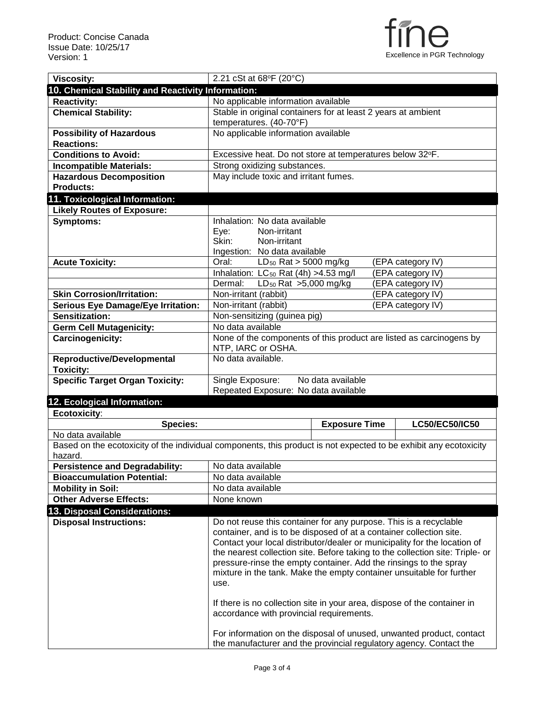

| <b>Viscosity:</b>                                                                                                 | 2.21 cSt at 68°F (20°C)                                                                                                                                    |                      |  |                       |
|-------------------------------------------------------------------------------------------------------------------|------------------------------------------------------------------------------------------------------------------------------------------------------------|----------------------|--|-----------------------|
| 10. Chemical Stability and Reactivity Information:                                                                |                                                                                                                                                            |                      |  |                       |
| <b>Reactivity:</b>                                                                                                | No applicable information available                                                                                                                        |                      |  |                       |
| <b>Chemical Stability:</b>                                                                                        | Stable in original containers for at least 2 years at ambient                                                                                              |                      |  |                       |
|                                                                                                                   | temperatures. (40-70°F)                                                                                                                                    |                      |  |                       |
| <b>Possibility of Hazardous</b>                                                                                   | No applicable information available                                                                                                                        |                      |  |                       |
| <b>Reactions:</b>                                                                                                 |                                                                                                                                                            |                      |  |                       |
| <b>Conditions to Avoid:</b>                                                                                       | Excessive heat. Do not store at temperatures below 32°F.                                                                                                   |                      |  |                       |
| <b>Incompatible Materials:</b>                                                                                    | Strong oxidizing substances.                                                                                                                               |                      |  |                       |
| <b>Hazardous Decomposition</b>                                                                                    | May include toxic and irritant fumes.                                                                                                                      |                      |  |                       |
| <b>Products:</b>                                                                                                  |                                                                                                                                                            |                      |  |                       |
| 11. Toxicological Information:                                                                                    |                                                                                                                                                            |                      |  |                       |
| <b>Likely Routes of Exposure:</b>                                                                                 |                                                                                                                                                            |                      |  |                       |
| <b>Symptoms:</b>                                                                                                  | Inhalation: No data available                                                                                                                              |                      |  |                       |
|                                                                                                                   | Eye:<br>Non-irritant                                                                                                                                       |                      |  |                       |
|                                                                                                                   | Skin:<br>Non-irritant                                                                                                                                      |                      |  |                       |
|                                                                                                                   | Ingestion: No data available                                                                                                                               |                      |  |                       |
| <b>Acute Toxicity:</b>                                                                                            | Oral:<br>LD <sub>50</sub> Rat > 5000 mg/kg                                                                                                                 |                      |  | (EPA category IV)     |
|                                                                                                                   | Inhalation: LC <sub>50</sub> Rat (4h) > 4.53 mg/l                                                                                                          |                      |  | (EPA category IV)     |
|                                                                                                                   | LD <sub>50</sub> Rat $>5,000$ mg/kg<br>Dermal:                                                                                                             |                      |  | (EPA category IV)     |
| <b>Skin Corrosion/Irritation:</b>                                                                                 | Non-irritant (rabbit)                                                                                                                                      |                      |  | (EPA category IV)     |
| <b>Serious Eye Damage/Eye Irritation:</b>                                                                         | Non-irritant (rabbit)                                                                                                                                      |                      |  | (EPA category IV)     |
| Sensitization:                                                                                                    | Non-sensitizing (guinea pig)                                                                                                                               |                      |  |                       |
| <b>Germ Cell Mutagenicity:</b>                                                                                    | No data available                                                                                                                                          |                      |  |                       |
| Carcinogenicity:                                                                                                  | None of the components of this product are listed as carcinogens by                                                                                        |                      |  |                       |
|                                                                                                                   | NTP, IARC or OSHA.<br>No data available.                                                                                                                   |                      |  |                       |
| Reproductive/Developmental<br><b>Toxicity:</b>                                                                    |                                                                                                                                                            |                      |  |                       |
| <b>Specific Target Organ Toxicity:</b>                                                                            | Single Exposure:                                                                                                                                           | No data available    |  |                       |
|                                                                                                                   | Repeated Exposure: No data available                                                                                                                       |                      |  |                       |
| 12. Ecological Information:                                                                                       |                                                                                                                                                            |                      |  |                       |
| Ecotoxicity:                                                                                                      |                                                                                                                                                            |                      |  |                       |
| <b>Species:</b>                                                                                                   |                                                                                                                                                            | <b>Exposure Time</b> |  | <b>LC50/EC50/IC50</b> |
| No data available                                                                                                 |                                                                                                                                                            |                      |  |                       |
| Based on the ecotoxicity of the individual components, this product is not expected to be exhibit any ecotoxicity |                                                                                                                                                            |                      |  |                       |
| hazard.                                                                                                           |                                                                                                                                                            |                      |  |                       |
| <b>Persistence and Degradability:</b>                                                                             | No data available                                                                                                                                          |                      |  |                       |
| <b>Bioaccumulation Potential:</b>                                                                                 | No data available                                                                                                                                          |                      |  |                       |
|                                                                                                                   |                                                                                                                                                            |                      |  |                       |
|                                                                                                                   | No data available                                                                                                                                          |                      |  |                       |
| <b>Mobility in Soil:</b>                                                                                          | None known                                                                                                                                                 |                      |  |                       |
| <b>Other Adverse Effects:</b>                                                                                     |                                                                                                                                                            |                      |  |                       |
|                                                                                                                   |                                                                                                                                                            |                      |  |                       |
| <b>Disposal Instructions:</b>                                                                                     | Do not reuse this container for any purpose. This is a recyclable                                                                                          |                      |  |                       |
|                                                                                                                   | container, and is to be disposed of at a container collection site.                                                                                        |                      |  |                       |
|                                                                                                                   | Contact your local distributor/dealer or municipality for the location of<br>the nearest collection site. Before taking to the collection site: Triple- or |                      |  |                       |
|                                                                                                                   | pressure-rinse the empty container. Add the rinsings to the spray                                                                                          |                      |  |                       |
| 13. Disposal Considerations:                                                                                      | mixture in the tank. Make the empty container unsuitable for further                                                                                       |                      |  |                       |
|                                                                                                                   | use.                                                                                                                                                       |                      |  |                       |
|                                                                                                                   |                                                                                                                                                            |                      |  |                       |
|                                                                                                                   | If there is no collection site in your area, dispose of the container in                                                                                   |                      |  |                       |
|                                                                                                                   | accordance with provincial requirements.                                                                                                                   |                      |  |                       |
|                                                                                                                   | For information on the disposal of unused, unwanted product, contact                                                                                       |                      |  |                       |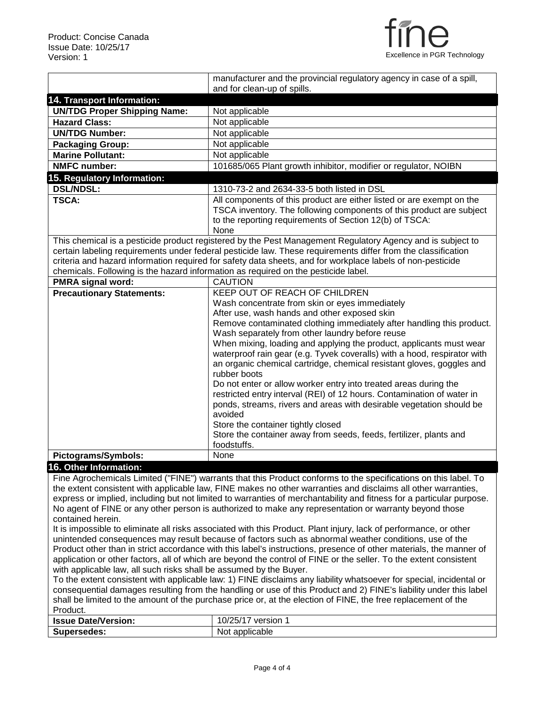

|                                                                    | manufacturer and the provincial regulatory agency in case of a spill,                                                |
|--------------------------------------------------------------------|----------------------------------------------------------------------------------------------------------------------|
|                                                                    | and for clean-up of spills.                                                                                          |
| 14. Transport Information:                                         |                                                                                                                      |
| <b>UN/TDG Proper Shipping Name:</b>                                | Not applicable                                                                                                       |
| <b>Hazard Class:</b>                                               | Not applicable                                                                                                       |
| <b>UN/TDG Number:</b>                                              | Not applicable                                                                                                       |
| <b>Packaging Group:</b>                                            | Not applicable                                                                                                       |
| <b>Marine Pollutant:</b>                                           | Not applicable                                                                                                       |
| <b>NMFC number:</b>                                                | 101685/065 Plant growth inhibitor, modifier or regulator, NOIBN                                                      |
| 15. Regulatory Information:                                        |                                                                                                                      |
| <b>DSL/NDSL:</b>                                                   | 1310-73-2 and 2634-33-5 both listed in DSL                                                                           |
| <b>TSCA:</b>                                                       | All components of this product are either listed or are exempt on the                                                |
|                                                                    | TSCA inventory. The following components of this product are subject                                                 |
|                                                                    | to the reporting requirements of Section 12(b) of TSCA:                                                              |
|                                                                    | None                                                                                                                 |
|                                                                    | This chemical is a pesticide product registered by the Pest Management Regulatory Agency and is subject to           |
|                                                                    | certain labeling requirements under federal pesticide law. These requirements differ from the classification         |
|                                                                    | criteria and hazard information required for safety data sheets, and for workplace labels of non-pesticide           |
|                                                                    | chemicals. Following is the hazard information as required on the pesticide label.                                   |
| <b>PMRA signal word:</b>                                           | CAUTION                                                                                                              |
| <b>Precautionary Statements:</b>                                   | KEEP OUT OF REACH OF CHILDREN                                                                                        |
|                                                                    | Wash concentrate from skin or eyes immediately                                                                       |
|                                                                    | After use, wash hands and other exposed skin                                                                         |
|                                                                    | Remove contaminated clothing immediately after handling this product.                                                |
|                                                                    | Wash separately from other laundry before reuse                                                                      |
|                                                                    | When mixing, loading and applying the product, applicants must wear                                                  |
|                                                                    | waterproof rain gear (e.g. Tyvek coveralls) with a hood, respirator with                                             |
|                                                                    | an organic chemical cartridge, chemical resistant gloves, goggles and                                                |
|                                                                    | rubber boots                                                                                                         |
|                                                                    | Do not enter or allow worker entry into treated areas during the                                                     |
|                                                                    | restricted entry interval (REI) of 12 hours. Contamination of water in                                               |
|                                                                    | ponds, streams, rivers and areas with desirable vegetation should be                                                 |
|                                                                    | avoided                                                                                                              |
|                                                                    | Store the container tightly closed                                                                                   |
|                                                                    | Store the container away from seeds, feeds, fertilizer, plants and                                                   |
|                                                                    | foodstuffs.                                                                                                          |
| Pictograms/Symbols:                                                | None                                                                                                                 |
| 16. Other Information:                                             |                                                                                                                      |
|                                                                    | Fine Agrochemicals Limited ("FINE") warrants that this Product conforms to the specifications on this label. To      |
|                                                                    | the extent consistent with applicable law, FINE makes no other warranties and disclaims all other warranties,        |
|                                                                    | express or implied, including but not limited to warranties of merchantability and fitness for a particular purpose. |
|                                                                    | No agent of FINE or any other person is authorized to make any representation or warranty beyond those               |
| contained herein.                                                  |                                                                                                                      |
|                                                                    | It is impossible to eliminate all risks associated with this Product. Plant injury, lack of performance, or other    |
|                                                                    | unintended consequences may result because of factors such as abnormal weather conditions, use of the                |
|                                                                    | Product other than in strict accordance with this label's instructions, presence of other materials, the manner of   |
|                                                                    | application or other factors, all of which are beyond the control of FINE or the seller. To the extent consistent    |
| with applicable law, all such risks shall be assumed by the Buyer. |                                                                                                                      |
|                                                                    | To the extent consistent with applicable law: 1) FINE disclaims any liability whatsoever for special, incidental or  |
|                                                                    | consequential damages resulting from the handling or use of this Product and 2) FINE's liability under this label    |
|                                                                    | shall be limited to the amount of the purchase price or, at the election of FINE, the free replacement of the        |
| Product.                                                           | 10/25/17 version 1                                                                                                   |
| <b>Issue Date/Version:</b>                                         |                                                                                                                      |
| <b>Supersedes:</b>                                                 | Not applicable                                                                                                       |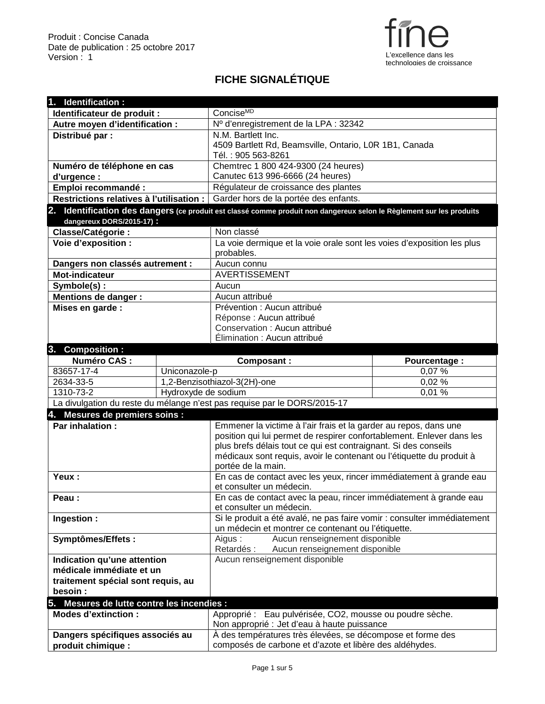

## **FICHE SIGNALÉTIQUE**

| 1. Identification :                        |                              |                                                                                                                               |               |  |
|--------------------------------------------|------------------------------|-------------------------------------------------------------------------------------------------------------------------------|---------------|--|
| Identificateur de produit :                |                              | Concise <sup>MD</sup>                                                                                                         |               |  |
| Autre moyen d'identification :             |                              | Nº d'enregistrement de la LPA : 32342                                                                                         |               |  |
| Distribué par :                            |                              | N.M. Bartlett Inc.                                                                                                            |               |  |
|                                            |                              | 4509 Bartlett Rd, Beamsville, Ontario, L0R 1B1, Canada                                                                        |               |  |
|                                            |                              | Tél.: 905 563-8261                                                                                                            |               |  |
| Numéro de téléphone en cas                 |                              | Chemtrec 1 800 424-9300 (24 heures)                                                                                           |               |  |
| d'urgence :                                |                              | Canutec 613 996-6666 (24 heures)                                                                                              |               |  |
| Emploi recommandé :                        |                              | Régulateur de croissance des plantes                                                                                          |               |  |
| Restrictions relatives à l'utilisation :   |                              | Garder hors de la portée des enfants.                                                                                         |               |  |
|                                            |                              | 2. Identification des dangers (ce produit est classé comme produit non dangereux selon le Règlement sur les produits          |               |  |
| dangereux DORS/2015-17):                   |                              |                                                                                                                               |               |  |
| Classe/Catégorie :                         |                              | Non classé                                                                                                                    |               |  |
| Voie d'exposition :                        |                              | La voie dermique et la voie orale sont les voies d'exposition les plus                                                        |               |  |
|                                            |                              | probables.                                                                                                                    |               |  |
| Dangers non classés autrement :            |                              | Aucun connu                                                                                                                   |               |  |
| <b>Mot-indicateur</b>                      |                              | <b>AVERTISSEMENT</b>                                                                                                          |               |  |
| Symbole(s):                                |                              | Aucun                                                                                                                         |               |  |
| <b>Mentions de danger:</b>                 |                              | Aucun attribué                                                                                                                |               |  |
| Mises en garde :                           |                              | Prévention : Aucun attribué                                                                                                   |               |  |
|                                            |                              | Réponse : Aucun attribué                                                                                                      |               |  |
|                                            |                              | Conservation : Aucun attribué                                                                                                 |               |  |
|                                            |                              | Élimination : Aucun attribué                                                                                                  |               |  |
| 3. Composition :                           |                              |                                                                                                                               |               |  |
| <b>Numéro CAS:</b>                         |                              | <b>Composant:</b>                                                                                                             | Pourcentage : |  |
| 83657-17-4                                 | Uniconazole-p                |                                                                                                                               | 0,07%         |  |
|                                            | 1,2-Benzisothiazol-3(2H)-one |                                                                                                                               |               |  |
| 2634-33-5                                  |                              |                                                                                                                               | 0,02 %        |  |
| 1310-73-2                                  | Hydroxyde de sodium          |                                                                                                                               | 0,01%         |  |
|                                            |                              | La divulgation du reste du mélange n'est pas requise par le DORS/2015-17                                                      |               |  |
| 4. Mesures de premiers soins :             |                              |                                                                                                                               |               |  |
| Par inhalation:                            |                              | Emmener la victime à l'air frais et la garder au repos, dans une                                                              |               |  |
|                                            |                              | position qui lui permet de respirer confortablement. Enlever dans les                                                         |               |  |
|                                            |                              | plus brefs délais tout ce qui est contraignant. Si des conseils                                                               |               |  |
|                                            |                              | médicaux sont requis, avoir le contenant ou l'étiquette du produit à                                                          |               |  |
|                                            |                              | portée de la main.                                                                                                            |               |  |
| Yeux:                                      |                              | En cas de contact avec les yeux, rincer immédiatement à grande eau                                                            |               |  |
|                                            |                              | et consulter un médecin.                                                                                                      |               |  |
| Peau:                                      |                              | En cas de contact avec la peau, rincer immédiatement à grande eau                                                             |               |  |
|                                            |                              | et consulter un médecin.                                                                                                      |               |  |
| Ingestion :                                |                              | Si le produit a été avalé, ne pas faire vomir : consulter immédiatement<br>un médecin et montrer ce contenant ou l'étiquette. |               |  |
|                                            |                              |                                                                                                                               |               |  |
| Symptômes/Effets:                          |                              | Aucun renseignement disponible<br>Aigus:<br>Retardés :<br>Aucun renseignement disponible                                      |               |  |
| Indication qu'une attention                |                              | Aucun renseignement disponible                                                                                                |               |  |
| médicale immédiate et un                   |                              |                                                                                                                               |               |  |
| traitement spécial sont requis, au         |                              |                                                                                                                               |               |  |
| besoin :                                   |                              |                                                                                                                               |               |  |
| 5. Mesures de lutte contre les incendies : |                              |                                                                                                                               |               |  |
| <b>Modes d'extinction :</b>                |                              | Approprié : Eau pulvérisée, CO2, mousse ou poudre sèche.                                                                      |               |  |
|                                            |                              | Non approprié : Jet d'eau à haute puissance                                                                                   |               |  |
| Dangers spécifiques associés au            |                              | À des températures très élevées, se décompose et forme des                                                                    |               |  |
| produit chimique :                         |                              | composés de carbone et d'azote et libère des aldéhydes.                                                                       |               |  |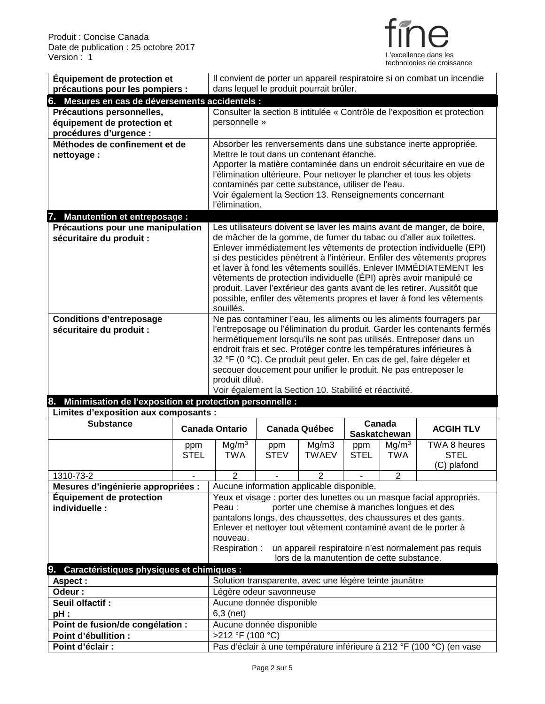

| Équipement de protection et                                    |                                                                  |                                                                                                                                         |                          |                                                         |              |                   |                                                                                                                                            |
|----------------------------------------------------------------|------------------------------------------------------------------|-----------------------------------------------------------------------------------------------------------------------------------------|--------------------------|---------------------------------------------------------|--------------|-------------------|--------------------------------------------------------------------------------------------------------------------------------------------|
|                                                                |                                                                  | Il convient de porter un appareil respiratoire si on combat un incendie                                                                 |                          |                                                         |              |                   |                                                                                                                                            |
| précautions pour les pompiers :                                |                                                                  | dans lequel le produit pourrait brûler.                                                                                                 |                          |                                                         |              |                   |                                                                                                                                            |
| 6. Mesures en cas de déversements accidentels :                |                                                                  |                                                                                                                                         |                          |                                                         |              |                   |                                                                                                                                            |
| Précautions personnelles,                                      |                                                                  |                                                                                                                                         |                          |                                                         |              |                   | Consulter la section 8 intitulée « Contrôle de l'exposition et protection                                                                  |
| équipement de protection et                                    |                                                                  | personnelle »                                                                                                                           |                          |                                                         |              |                   |                                                                                                                                            |
| procédures d'urgence :                                         | Absorber les renversements dans une substance inerte appropriée. |                                                                                                                                         |                          |                                                         |              |                   |                                                                                                                                            |
| Méthodes de confinement et de                                  |                                                                  |                                                                                                                                         |                          |                                                         |              |                   |                                                                                                                                            |
| nettoyage:                                                     |                                                                  |                                                                                                                                         |                          | Mettre le tout dans un contenant étanche.               |              |                   |                                                                                                                                            |
|                                                                |                                                                  |                                                                                                                                         |                          |                                                         |              |                   | Apporter la matière contaminée dans un endroit sécuritaire en vue de                                                                       |
|                                                                |                                                                  | l'élimination ultérieure. Pour nettoyer le plancher et tous les objets<br>contaminés par cette substance, utiliser de l'eau.            |                          |                                                         |              |                   |                                                                                                                                            |
|                                                                |                                                                  |                                                                                                                                         |                          | Voir également la Section 13. Renseignements concernant |              |                   |                                                                                                                                            |
|                                                                |                                                                  | l'élimination.                                                                                                                          |                          |                                                         |              |                   |                                                                                                                                            |
| 7. Manutention et entreposage :                                |                                                                  |                                                                                                                                         |                          |                                                         |              |                   |                                                                                                                                            |
| Précautions pour une manipulation                              |                                                                  |                                                                                                                                         |                          |                                                         |              |                   | Les utilisateurs doivent se laver les mains avant de manger, de boire,                                                                     |
| sécuritaire du produit :                                       |                                                                  |                                                                                                                                         |                          |                                                         |              |                   | de mâcher de la gomme, de fumer du tabac ou d'aller aux toilettes.                                                                         |
|                                                                |                                                                  |                                                                                                                                         |                          |                                                         |              |                   | Enlever immédiatement les vêtements de protection individuelle (EPI)                                                                       |
|                                                                |                                                                  |                                                                                                                                         |                          |                                                         |              |                   | si des pesticides pénètrent à l'intérieur. Enfiler des vêtements propres                                                                   |
|                                                                |                                                                  |                                                                                                                                         |                          |                                                         |              |                   | et laver à fond les vêtements souillés. Enlever IMMÉDIATEMENT les                                                                          |
|                                                                |                                                                  |                                                                                                                                         |                          |                                                         |              |                   | vêtements de protection individuelle (ÉPI) après avoir manipulé ce                                                                         |
|                                                                |                                                                  |                                                                                                                                         |                          |                                                         |              |                   | produit. Laver l'extérieur des gants avant de les retirer. Aussitôt que                                                                    |
|                                                                |                                                                  |                                                                                                                                         |                          |                                                         |              |                   | possible, enfiler des vêtements propres et laver à fond les vêtements                                                                      |
|                                                                | souillés.                                                        |                                                                                                                                         |                          |                                                         |              |                   |                                                                                                                                            |
| <b>Conditions d'entreposage</b>                                |                                                                  |                                                                                                                                         |                          |                                                         |              |                   | Ne pas contaminer l'eau, les aliments ou les aliments fourragers par                                                                       |
| sécuritaire du produit :                                       |                                                                  |                                                                                                                                         |                          |                                                         |              |                   | l'entreposage ou l'élimination du produit. Garder les contenants fermés                                                                    |
|                                                                |                                                                  |                                                                                                                                         |                          |                                                         |              |                   | hermétiquement lorsqu'ils ne sont pas utilisés. Entreposer dans un<br>endroit frais et sec. Protéger contre les températures inférieures à |
|                                                                |                                                                  |                                                                                                                                         |                          |                                                         |              |                   |                                                                                                                                            |
|                                                                |                                                                  | 32 °F (0 °C). Ce produit peut geler. En cas de gel, faire dégeler et<br>secouer doucement pour unifier le produit. Ne pas entreposer le |                          |                                                         |              |                   |                                                                                                                                            |
|                                                                |                                                                  | produit dilué.                                                                                                                          |                          |                                                         |              |                   |                                                                                                                                            |
|                                                                |                                                                  | Voir également la Section 10. Stabilité et réactivité.                                                                                  |                          |                                                         |              |                   |                                                                                                                                            |
|                                                                |                                                                  |                                                                                                                                         |                          |                                                         |              |                   |                                                                                                                                            |
| Minimisation de l'exposition et protection personnelle :<br>8. |                                                                  |                                                                                                                                         |                          |                                                         |              |                   |                                                                                                                                            |
| Limites d'exposition aux composants :                          |                                                                  |                                                                                                                                         |                          |                                                         |              |                   |                                                                                                                                            |
| <b>Substance</b>                                               |                                                                  |                                                                                                                                         |                          |                                                         |              | Canada            |                                                                                                                                            |
|                                                                |                                                                  | <b>Canada Ontario</b>                                                                                                                   |                          | <b>Canada Québec</b>                                    | Saskatchewan |                   | <b>ACGIH TLV</b>                                                                                                                           |
|                                                                | ppm                                                              | Mg/m <sup>3</sup>                                                                                                                       | ppm                      | Mg/m3                                                   | ppm          | Mg/m <sup>3</sup> | TWA 8 heures                                                                                                                               |
|                                                                | <b>STEL</b>                                                      | <b>TWA</b>                                                                                                                              | <b>STEV</b>              | <b>TWAEV</b>                                            | <b>STEL</b>  | <b>TWA</b>        | <b>STEL</b>                                                                                                                                |
|                                                                |                                                                  |                                                                                                                                         |                          |                                                         |              |                   | (C) plafond                                                                                                                                |
| 1310-73-2                                                      |                                                                  | $\overline{2}$                                                                                                                          |                          | 2                                                       |              | 2                 |                                                                                                                                            |
| Mesures d'ingénierie appropriées :                             |                                                                  |                                                                                                                                         |                          | Aucune information applicable disponible.               |              |                   |                                                                                                                                            |
| Équipement de protection                                       |                                                                  |                                                                                                                                         |                          |                                                         |              |                   | Yeux et visage : porter des lunettes ou un masque facial appropriés.                                                                       |
| individuelle:                                                  |                                                                  | Peau:                                                                                                                                   |                          | porter une chemise à manches longues et des             |              |                   |                                                                                                                                            |
|                                                                |                                                                  |                                                                                                                                         |                          |                                                         |              |                   | pantalons longs, des chaussettes, des chaussures et des gants.                                                                             |
|                                                                |                                                                  |                                                                                                                                         |                          |                                                         |              |                   | Enlever et nettoyer tout vêtement contaminé avant de le porter à                                                                           |
|                                                                |                                                                  | nouveau.                                                                                                                                |                          |                                                         |              |                   |                                                                                                                                            |
|                                                                |                                                                  | Respiration:                                                                                                                            |                          |                                                         |              |                   | un appareil respiratoire n'est normalement pas requis                                                                                      |
|                                                                |                                                                  |                                                                                                                                         |                          | lors de la manutention de cette substance.              |              |                   |                                                                                                                                            |
| 9. Caractéristiques physiques et chimiques :                   |                                                                  |                                                                                                                                         |                          |                                                         |              |                   |                                                                                                                                            |
| <b>Aspect:</b>                                                 |                                                                  |                                                                                                                                         |                          | Solution transparente, avec une légère teinte jaunâtre  |              |                   |                                                                                                                                            |
| Odeur:                                                         |                                                                  |                                                                                                                                         | Légère odeur savonneuse  |                                                         |              |                   |                                                                                                                                            |
| Seuil olfactif :                                               |                                                                  | Aucune donnée disponible                                                                                                                |                          |                                                         |              |                   |                                                                                                                                            |
| pH:                                                            |                                                                  | $6,3$ (net)                                                                                                                             |                          |                                                         |              |                   |                                                                                                                                            |
| Point de fusion/de congélation :<br>Point d'ébullition :       |                                                                  | >212 °F (100 °C)                                                                                                                        | Aucune donnée disponible |                                                         |              |                   |                                                                                                                                            |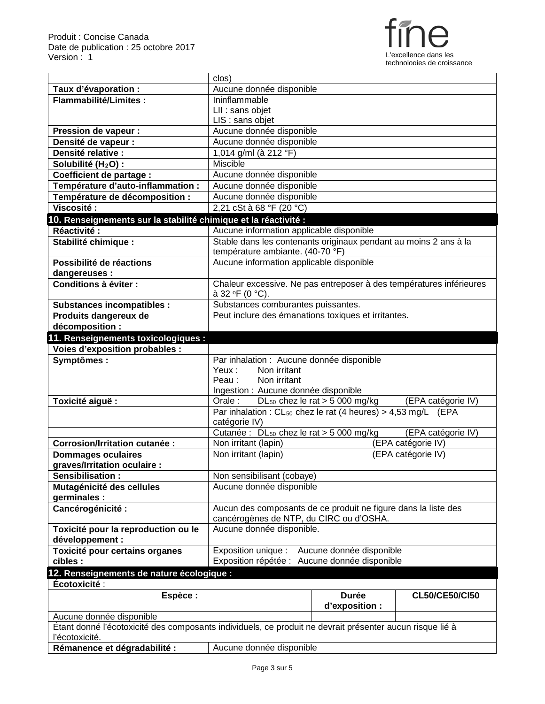

|                                                                                                          | clos)                                                                                  |                                              |                       |
|----------------------------------------------------------------------------------------------------------|----------------------------------------------------------------------------------------|----------------------------------------------|-----------------------|
| Taux d'évaporation :                                                                                     | Aucune donnée disponible                                                               |                                              |                       |
| <b>Flammabilité/Limites:</b>                                                                             | Ininflammable                                                                          |                                              |                       |
|                                                                                                          | LII : sans objet                                                                       |                                              |                       |
|                                                                                                          | LIS : sans objet                                                                       |                                              |                       |
| <b>Pression de vapeur:</b>                                                                               | Aucune donnée disponible                                                               |                                              |                       |
| Densité de vapeur :                                                                                      | Aucune donnée disponible                                                               |                                              |                       |
| Densité relative :                                                                                       | 1,014 g/ml (à 212 °F)                                                                  |                                              |                       |
| Solubilité (H <sub>2</sub> O) :                                                                          | <b>Miscible</b>                                                                        |                                              |                       |
| <b>Coefficient de partage:</b>                                                                           | Aucune donnée disponible                                                               |                                              |                       |
| Température d'auto-inflammation :                                                                        | Aucune donnée disponible                                                               |                                              |                       |
| Température de décomposition :                                                                           | Aucune donnée disponible                                                               |                                              |                       |
| Viscosité:                                                                                               | 2,21 cSt à 68 °F (20 °C)                                                               |                                              |                       |
| 10. Renseignements sur la stabilité chimique et la réactivité :                                          |                                                                                        |                                              |                       |
| Réactivité :                                                                                             | Aucune information applicable disponible                                               |                                              |                       |
| Stabilité chimique :                                                                                     | Stable dans les contenants originaux pendant au moins 2 ans à la                       |                                              |                       |
|                                                                                                          | température ambiante. (40-70 °F)                                                       |                                              |                       |
| Possibilité de réactions                                                                                 | Aucune information applicable disponible                                               |                                              |                       |
| dangereuses :                                                                                            |                                                                                        |                                              |                       |
| Conditions à éviter :                                                                                    | Chaleur excessive. Ne pas entreposer à des températures inférieures<br>à 32 °F (0 °C). |                                              |                       |
| <b>Substances incompatibles:</b>                                                                         | Substances comburantes puissantes.                                                     |                                              |                       |
| Produits dangereux de                                                                                    | Peut inclure des émanations toxiques et irritantes.                                    |                                              |                       |
| décomposition :                                                                                          |                                                                                        |                                              |                       |
| 11. Renseignements toxicologiques :                                                                      |                                                                                        |                                              |                       |
| <b>Voies d'exposition probables :</b>                                                                    |                                                                                        |                                              |                       |
| Symptômes:                                                                                               | Par inhalation : Aucune donnée disponible                                              |                                              |                       |
|                                                                                                          | Yeux :<br>Non irritant                                                                 |                                              |                       |
|                                                                                                          | Peau:<br>Non irritant                                                                  |                                              |                       |
|                                                                                                          | Ingestion : Aucune donnée disponible                                                   |                                              |                       |
| Toxicité aiguë :                                                                                         | Orale:                                                                                 | DL <sub>50</sub> chez le rat $>$ 5 000 mg/kg | (EPA catégorie IV)    |
|                                                                                                          | Par inhalation : $CL_{50}$ chez le rat (4 heures) > 4,53 mg/L (EPA                     |                                              |                       |
|                                                                                                          | catégorie IV)                                                                          |                                              |                       |
|                                                                                                          | Cutanée : DL <sub>50</sub> chez le rat > 5 000 mg/kg                                   |                                              | (EPA catégorie IV)    |
| <b>Corrosion/Irritation cutanée:</b>                                                                     | Non irritant (lapin)                                                                   |                                              | (EPA catégorie IV)    |
| <b>Dommages oculaires</b>                                                                                | Non irritant (lapin)                                                                   |                                              | (EPA catégorie IV)    |
| graves/Irritation oculaire :<br>Sensibilisation:                                                         | Non sensibilisant (cobaye)                                                             |                                              |                       |
| Mutagénicité des cellules                                                                                | Aucune donnée disponible                                                               |                                              |                       |
| germinales :                                                                                             |                                                                                        |                                              |                       |
|                                                                                                          |                                                                                        |                                              |                       |
|                                                                                                          |                                                                                        |                                              |                       |
| Cancérogénicité :                                                                                        | Aucun des composants de ce produit ne figure dans la liste des                         |                                              |                       |
|                                                                                                          | cancérogènes de NTP, du CIRC ou d'OSHA.                                                |                                              |                       |
| Toxicité pour la reproduction ou le                                                                      | Aucune donnée disponible.                                                              |                                              |                       |
| développement :                                                                                          |                                                                                        |                                              |                       |
| Toxicité pour certains organes<br>cibles :                                                               | Exposition unique :<br>Exposition répétée : Aucune donnée disponible                   | Aucune donnée disponible                     |                       |
| 12. Renseignements de nature écologique :                                                                |                                                                                        |                                              |                       |
| Écotoxicité :                                                                                            |                                                                                        |                                              |                       |
| Espèce :                                                                                                 |                                                                                        | <b>Durée</b>                                 | <b>CL50/CE50/CI50</b> |
|                                                                                                          |                                                                                        | d'exposition :                               |                       |
| Aucune donnée disponible                                                                                 |                                                                                        |                                              |                       |
| Étant donné l'écotoxicité des composants individuels, ce produit ne devrait présenter aucun risque lié à |                                                                                        |                                              |                       |
| l'écotoxicité.                                                                                           |                                                                                        |                                              |                       |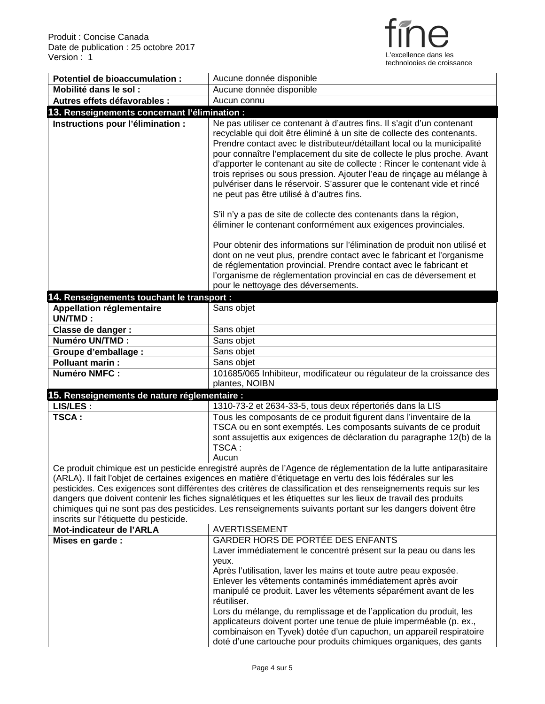

| Potentiel de bioaccumulation :                     | Aucune donnée disponible                                                                                                                                                                                                                                                                                                                                                                                                                                                                                                                                                            |
|----------------------------------------------------|-------------------------------------------------------------------------------------------------------------------------------------------------------------------------------------------------------------------------------------------------------------------------------------------------------------------------------------------------------------------------------------------------------------------------------------------------------------------------------------------------------------------------------------------------------------------------------------|
| Mobilité dans le sol :                             | Aucune donnée disponible                                                                                                                                                                                                                                                                                                                                                                                                                                                                                                                                                            |
| Autres effets défavorables :                       | Aucun connu                                                                                                                                                                                                                                                                                                                                                                                                                                                                                                                                                                         |
| 13. Renseignements concernant l'élimination :      |                                                                                                                                                                                                                                                                                                                                                                                                                                                                                                                                                                                     |
| Instructions pour l'élimination :                  | Ne pas utiliser ce contenant à d'autres fins. Il s'agit d'un contenant<br>recyclable qui doit être éliminé à un site de collecte des contenants.<br>Prendre contact avec le distributeur/détaillant local ou la municipalité<br>pour connaître l'emplacement du site de collecte le plus proche. Avant<br>d'apporter le contenant au site de collecte : Rincer le contenant vide à<br>trois reprises ou sous pression. Ajouter l'eau de rinçage au mélange à<br>pulvériser dans le réservoir. S'assurer que le contenant vide et rincé<br>ne peut pas être utilisé à d'autres fins. |
|                                                    | S'il n'y a pas de site de collecte des contenants dans la région,<br>éliminer le contenant conformément aux exigences provinciales.                                                                                                                                                                                                                                                                                                                                                                                                                                                 |
|                                                    | Pour obtenir des informations sur l'élimination de produit non utilisé et<br>dont on ne veut plus, prendre contact avec le fabricant et l'organisme<br>de réglementation provincial. Prendre contact avec le fabricant et<br>l'organisme de réglementation provincial en cas de déversement et<br>pour le nettoyage des déversements.                                                                                                                                                                                                                                               |
| 14. Renseignements touchant le transport :         |                                                                                                                                                                                                                                                                                                                                                                                                                                                                                                                                                                                     |
| <b>Appellation réglementaire</b><br><b>UN/TMD:</b> | Sans objet                                                                                                                                                                                                                                                                                                                                                                                                                                                                                                                                                                          |
| Classe de danger :                                 | Sans objet                                                                                                                                                                                                                                                                                                                                                                                                                                                                                                                                                                          |
| <b>Numéro UN/TMD:</b>                              | Sans objet                                                                                                                                                                                                                                                                                                                                                                                                                                                                                                                                                                          |
| <b>Groupe d'emballage :</b>                        | Sans objet                                                                                                                                                                                                                                                                                                                                                                                                                                                                                                                                                                          |
| <b>Polluant marin:</b>                             | Sans objet                                                                                                                                                                                                                                                                                                                                                                                                                                                                                                                                                                          |
| <b>Numéro NMFC:</b>                                | 101685/065 Inhibiteur, modificateur ou régulateur de la croissance des<br>plantes, NOIBN                                                                                                                                                                                                                                                                                                                                                                                                                                                                                            |
| 15. Renseignements de nature réglementaire :       |                                                                                                                                                                                                                                                                                                                                                                                                                                                                                                                                                                                     |
| LIS/LES :                                          | 1310-73-2 et 2634-33-5, tous deux répertoriés dans la LIS                                                                                                                                                                                                                                                                                                                                                                                                                                                                                                                           |
| TSCA:                                              | Tous les composants de ce produit figurent dans l'inventaire de la<br>TSCA ou en sont exemptés. Les composants suivants de ce produit<br>sont assujettis aux exigences de déclaration du paragraphe 12(b) de la<br>TSCA:<br>Aucun                                                                                                                                                                                                                                                                                                                                                   |
|                                                    | Ce produit chimique est un pesticide enregistré auprès de l'Agence de réglementation de la lutte antiparasitaire<br>(ARLA). Il fait l'objet de certaines exigences en matière d'étiquetage en vertu des lois fédérales sur les                                                                                                                                                                                                                                                                                                                                                      |
| inscrits sur l'étiquette du pesticide.             | pesticides. Ces exigences sont différentes des critères de classification et des renseignements requis sur les<br>dangers que doivent contenir les fiches signalétiques et les étiquettes sur les lieux de travail des produits<br>chimiques qui ne sont pas des pesticides. Les renseignements suivants portant sur les dangers doivent être                                                                                                                                                                                                                                       |
| Mot-indicateur de l'ARLA                           | <b>AVERTISSEMENT</b>                                                                                                                                                                                                                                                                                                                                                                                                                                                                                                                                                                |
| Mises en garde :                                   | GARDER HORS DE PORTÉE DES ENFANTS                                                                                                                                                                                                                                                                                                                                                                                                                                                                                                                                                   |
|                                                    | Laver immédiatement le concentré présent sur la peau ou dans les                                                                                                                                                                                                                                                                                                                                                                                                                                                                                                                    |
|                                                    | yeux.<br>Après l'utilisation, laver les mains et toute autre peau exposée.<br>Enlever les vêtements contaminés immédiatement après avoir<br>manipulé ce produit. Laver les vêtements séparément avant de les                                                                                                                                                                                                                                                                                                                                                                        |
|                                                    | réutiliser.<br>Lors du mélange, du remplissage et de l'application du produit, les                                                                                                                                                                                                                                                                                                                                                                                                                                                                                                  |
|                                                    | applicateurs doivent porter une tenue de pluie imperméable (p. ex.,                                                                                                                                                                                                                                                                                                                                                                                                                                                                                                                 |
|                                                    | combinaison en Tyvek) dotée d'un capuchon, un appareil respiratoire<br>doté d'une cartouche pour produits chimiques organiques, des gants                                                                                                                                                                                                                                                                                                                                                                                                                                           |